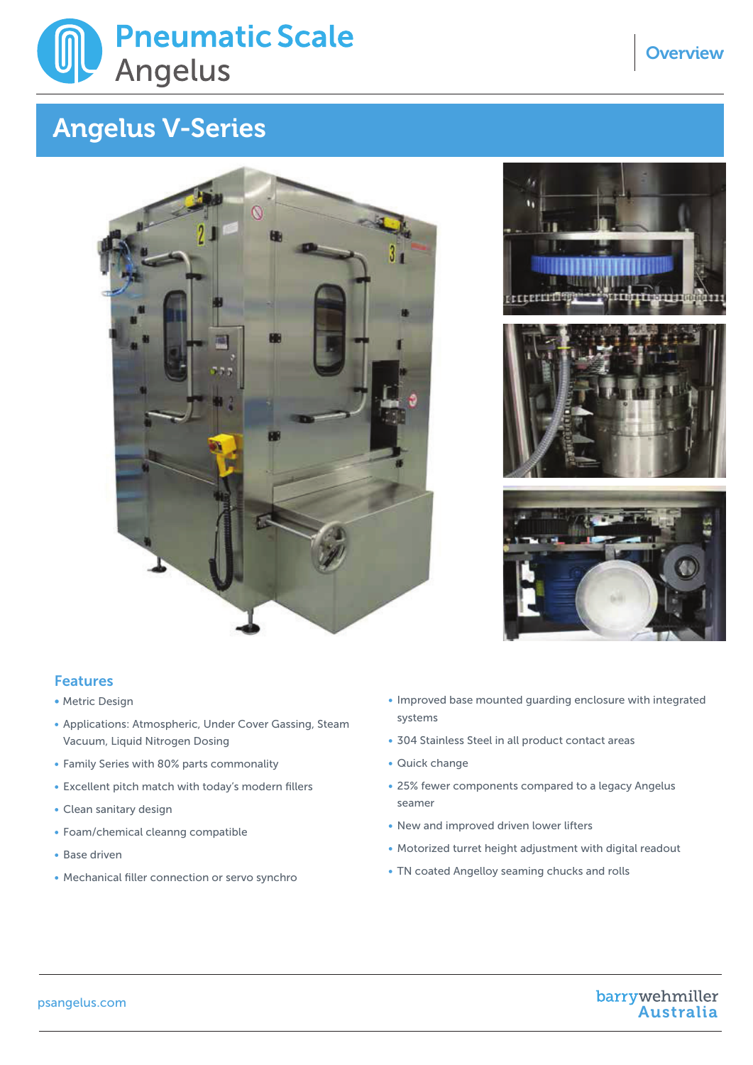

## Overview Angelus V-Series Angelus V-Series





## Features

- Metric Design
- Vacuum, Liquid Nitrogen Dosing • Applications: Atmospheric, Under Cover Gassing, Steam
- Family Series with 80% parts commonality
- Excellent pitch match with today's modern fillers
- Clean sanitary design
- Foam/chemical cleanng compatible
- Base driven
- Mechanical filler connection or servo synchro
- Improved base mounted guarding enclosure with integrated systems
- 304 Stainless Steel in all product contact areas
- Quick change mounted guardinals enclosure with integrated  $\sim$
- 25% fewer components compared to a legacy Angelus seamer **Steel in all product contact areas** seamer
- New and improved driven lower lifters
- Motorized turret height adjustment with digital readout • Motorized turret height adjustment with digital readout<br>• TN coated Angelloy seaming chucks and rolls
- 

psangelus.com